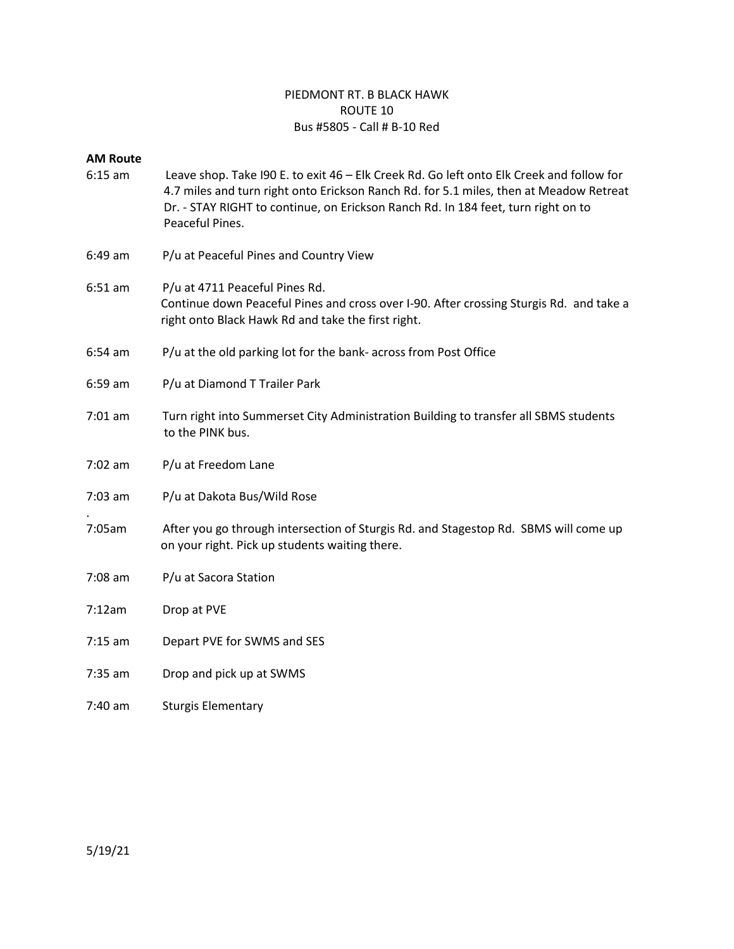## PIEDMONT RT. B BLACK HAWK ROUTE 10 Bus #5805 - Call # B-10 Red

## **AM Route**

- 6:15 am Leave shop. Take I90 E. to exit 46 Elk Creek Rd. Go left onto Elk Creek and follow for 4.7 miles and turn right onto Erickson Ranch Rd. for 5.1 miles, then at Meadow Retreat Dr. - STAY RIGHT to continue, on Erickson Ranch Rd. In 184 feet, turn right on to Peaceful Pines.
- 6:49 am P/u at Peaceful Pines and Country View
- 6:51 am P/u at 4711 Peaceful Pines Rd. Continue down Peaceful Pines and cross over I-90. After crossing Sturgis Rd. and take a right onto Black Hawk Rd and take the first right.
- 6:54 am P/u at the old parking lot for the bank- across from Post Office
- 6:59 am P/u at Diamond T Trailer Park
- 7:01 am Turn right into Summerset City Administration Building to transfer all SBMS students to the PINK bus.
- 7:02 am P/u at Freedom Lane
- 7:03 am P/u at Dakota Bus/Wild Rose
- 7:05am After you go through intersection of Sturgis Rd. and Stagestop Rd. SBMS will come up on your right. Pick up students waiting there.
- 7:08 am P/u at Sacora Station
- 7:12am Drop at PVE
- 7:15 am Depart PVE for SWMS and SES
- 7:35 am Drop and pick up at SWMS
- 7:40 am Sturgis Elementary

.